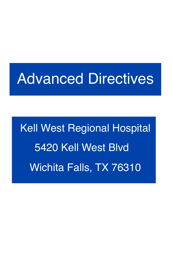# Advanced Directives

**Advance Directives** Kell West Regional Hospital 5420 Kell West Blvd Wichita Falls, TX 76310

*Your Health*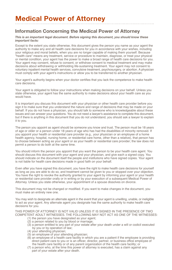# **Medical Power of Attorney**

### **Information Concerning the Medical Power of Attorney**

#### *This is an important legal document. Before signing this document, you should know these important facts:*

Except to the extent you state otherwise, this document gives the person you name as your agent the authority to make any and all health care decisions for you in accordance with your wishes, including your religious and moral beliefs, when you are no longer capable of making them yourself. Because "health care" means any treatment, service or procedure to maintain, diagnose, or treat your physical or mental condition, your agent has the power to make a broad range of health care decisions for you. Your agent may consent, refuse to consent, or withdraw consent to medical treatment and may make decisions about withdrawing or withholding life-sustaining treatment. Your agent may not consent to voluntary inpatient mental health services, convulsive treatment, psychosurgery, or abortion. A physician must comply with your agent's instructions or allow you to be transferred to another physician.

Your agent's authority begins when your doctor certifies that you lack the competence to make health care decisions.

Your agent is obligated to follow your instructions when making decisions on your behalf. Unless you state otherwise, your agent has the same authority to make decisions about your health care as you would have.

It is important you discuss this document with your physician or other health care provider before you sign it to make sure that you understand the nature and range of decisions that may be made on your behalf. If you do not have a physician, you should talk to someone who is knowledgeable about these issues and can answer your questions. You do not need a lawyer's assistance to complete this document, but if there is anything in this document that you do not understand, you should ask a lawyer to explain it to you.

The person you appoint as agent should be someone you know and trust. The person must be 18 years of age or older or a person under 18 years of age who has had the disabilities of minority removed. If you appoint your health or residential care provider (e.g., your physician or an employee of a home health agency, hospital, nursing home, or residential care home, other than a relative), that person has to choose between acting as your agent or as your health or residential care provider; the law does not permit a person to do both at the same time.

You should inform the person you appoint that you want the person to be your health care agent. You should discuss this document with your agent and your physician, and give each a signed copy. You should indicate on the document itself the people and institutions who have signed copies. Your agent is not liable for health care decisions made in good faith on your behalf.

Even after you have signed this document, you have the right to make health care decisions for yourself as long as you are able to do so, and treatment cannot be given to you or stopped over your objection. You have the right to revoke the authority granted to your agent by informing your agent or your health or residential care provider orally or in writing or by your execution of a subsequent Medical Power of Attorney. Unless you state otherwise, your appointment of a spouse dissolves on divorce.

This document may not be changed or modified. If you want to make changes in the document, you must make an entirely new one.

You may wish to designate an alternate agent in the event that your agent is unwilling, unable, or ineligible to act as your agent. Any alternate agent you designate has the same authority to make health care decisions for you.

THIS POWER OF ATTORNEY IS NOT VALID UNLESS IT IS SIGNED IN THE PRESENCE OF TWO COMPETENT ADULT WITNESSES. THE FOLLOWING MAY NOT ACT AS ONE OF THE WITNESSES:

- (1) the person you have designated as your agent;
- (2) a person related to you by blood or marriage; (3) a person entitled to any part of your estate after your death under a will or codicil executed
- by you or by operation of law;
- (4) your attending physician;
- (5) an employee of your attending physician;
- (6) an employee of a health care facility in which you are a patient if the employee is providing direct patient care to you or is an officer, director, partner, or business office employee of the health care facility or of any parent organization of the health care facility; or
- (7) a person who, at the time this power of attorney is executed, has a claim against any part of your estate after your death.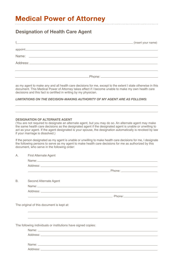### **Designation of Health Care Agent**

| appoint: appoint: appoint: appoint: appoint: appoint: appoint: appoint: appoint: appoint: approximate approximate approximate approximate approximate approximate approximate approximate approximate approximate approximate |  |
|-------------------------------------------------------------------------------------------------------------------------------------------------------------------------------------------------------------------------------|--|
|                                                                                                                                                                                                                               |  |
|                                                                                                                                                                                                                               |  |
|                                                                                                                                                                                                                               |  |
|                                                                                                                                                                                                                               |  |

as my agent to make any and all health care decisions for me, except to the extent I state otherwise in this document. This Medical Power of Attorney takes effect if I become unable to make my own health care decisions and this fact is certified in writing by my physician.

#### *LIMITATIONS ON THE DECISION-MAKING AUTHORITY OF MY AGENT ARE AS FOLLOWS:*

#### **DESIGNATION OF ALTERNATE AGENT**

(You are not required to designate an alternate agent, but you may do so. An alternate agent may make the same health care decisions as the designated agent if the designated agent is unable or unwilling to act as your agent. If the agent designated is your spouse, the designation automatically is revoked by law if your marriage is dissolved.)

If the person designated as my agent is unable or unwilling to make health care decisions for me, I designate the following persons to serve as my agent to make health care decisions for me as authorized by this document, who serve in the following order:

| Α. | <b>First Alternate Agent</b>                                                                                                                                                                                                                                                                   |  |
|----|------------------------------------------------------------------------------------------------------------------------------------------------------------------------------------------------------------------------------------------------------------------------------------------------|--|
|    | Name: 2008 2009 2010 2020 2020 2021 2022 2023 2024 2022 2023 2024 2022 2023 2024 2022 2023 2024 2022 2023 2024                                                                                                                                                                                 |  |
|    |                                                                                                                                                                                                                                                                                                |  |
|    |                                                                                                                                                                                                                                                                                                |  |
| В. | Second Alternate Agent                                                                                                                                                                                                                                                                         |  |
|    |                                                                                                                                                                                                                                                                                                |  |
|    |                                                                                                                                                                                                                                                                                                |  |
|    |                                                                                                                                                                                                                                                                                                |  |
|    | The original of this document is kept at:<br>,我们也不能会有什么。""我们的人,我们也不能会有什么?""我们的人,我们也不能会有什么?""我们的人,我们也不能会有什么?""我们的人,我们也不能会有什么?""                                                                                                                                                                 |  |
|    |                                                                                                                                                                                                                                                                                                |  |
|    | The following individuals or institutions have signed copies:<br>Name: Name: Name: Name: Name: Name: Name: Name: Name: Name: Name: Name: Name: Name: Name: Name: Name: Name: Name: Name: Name: Name: Name: Name: Name: Name: Name: Name: Name: Name: Name: Name: Name: Name: Name: Name: Name: |  |
|    |                                                                                                                                                                                                                                                                                                |  |
|    |                                                                                                                                                                                                                                                                                                |  |

Name:

Address: \_\_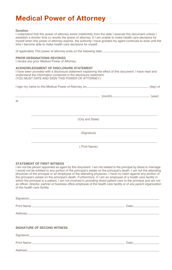# **Medical Power of Attorney**

#### **Duration**

I understand that this power of attorney exists indefinitely from the date I execute this document unless I establish a shorter time or revoke the power of attorney. If I am unable to make health care decisions for myself when this power of attorney expires, the authority I have granted my agent continues to exist until the time I become able to make health care decisions for myself.

(If applicable) This power of attorney ends on the following date:

#### **PRIOR DESIGNATIONS REVOKED**

I revoke any prior Medical Power of Attorney.

#### **ACKNOWLEDGMENT OF DISCLOSURE STATEMENT**

I have been provided with a disclosure statement explaining the effect of this document. I have read and understand the information contained in the disclosure statement. (YOU MUST DATE AND SIGN THIS POWER OF ATTORNEY.)

|    | I sign my name to this Medical Power of Attorney on Committee Commission and Attorney on Commission and Commission and Commission and Commission and Commission and Commission and Commission and Commission and Commission an |  |
|----|--------------------------------------------------------------------------------------------------------------------------------------------------------------------------------------------------------------------------------|--|
|    | $(month)$ (year)                                                                                                                                                                                                               |  |
| at |                                                                                                                                                                                                                                |  |
|    |                                                                                                                                                                                                                                |  |
|    | (City and State)                                                                                                                                                                                                               |  |
|    | (Signature)                                                                                                                                                                                                                    |  |
|    |                                                                                                                                                                                                                                |  |
|    | (Print Name)                                                                                                                                                                                                                   |  |

#### **STATEMENT OF FIRST WITNESS**

I am not the person appointed as agent by this document. I am not related to the principal by blood or marriage. I would not be entitled to any portion of the principal's estate on the principal's death. I am not the attending physician of the principal or an employee of the attending physician. I have no claim against any portion of the principal's estate on the principal's death. Furthermore, if I am an employee of a health care facility in which the principal is a patient, I am not involved in providing direct patient care to the principal and am not an officer, director, partner or business office employee of the health care facility or of any parent organization of the health care facility.

| <b>SIGNATURE OF SECOND WITNESS</b> |                                                                                                                                                                                                                                |
|------------------------------------|--------------------------------------------------------------------------------------------------------------------------------------------------------------------------------------------------------------------------------|
|                                    |                                                                                                                                                                                                                                |
|                                    |                                                                                                                                                                                                                                |
|                                    | Date: the contract of the contract of the contract of the contract of the contract of the contract of the contract of the contract of the contract of the contract of the contract of the contract of the contract of the cont |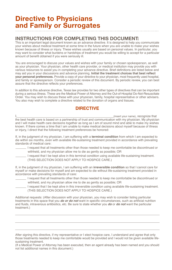## **Directive to Physicians and Family or Surrogates**

## **INSTRUCTIONS FOR COMPLETING THIS DOCUMENT:**

This is an important legal document known as an advance directive. It is designed to help you communicate your wishes about medical treatment at some time in the future when you are unable to make your wishes known because of illness or injury. These wishes usually are based on personal values. In particular, you may want to consider what burdens or hardships of treatment you would be willing to accept for a particular amount of benefit obtained if you were seriously ill.

You are encouraged to discuss your values and wishes with your family or chosen spokesperson, as well as your physician. Your physician, other health care provider, or medical institution may provide you with various resources to assist you in completing your advance directive. Brief definitions are listed below and may aid you in your discussions and advance planning. **Initial the treatment choices that best reflect your personal preferences.** Provide a copy of your directive to your physician, most frequently used hospital, and family or spokesperson. Consider a periodic review of this document. By periodic review, you can best assure that the directive reflects your preferences.

In addition to this advance directive, Texas law provides for two other types of directives that can be important during a serious illness. These are the Medical Power of Attorney and the Out-of-Hospital Do-Not-Resuscitate Order. You may wish to discuss these with your physician, family, hospital representative or other advisers. You also may wish to complete a directive related to the donation of organs and tissues.

## **DIRECTIVE**

(insert your name), recognize that

the best health care is based on a partnership of trust and communication with my physician. My physician and I will make health care decisions together as long as I am of sound mind and able to make my wishes known. If there comes a time that I am unable to make medical decisions about myself because of illness or injury, I direct that the following treatment preferences be honored:

If, in the judgment of my physician, I am suffering with a **terminal condition** from which I am expected to die within six months, even with available life-sustaining treatment provided in accordance with prevailing standards of medical care:

- I request that all treatments other than those needed to keep me comfortable be discontinued or withheld, and my physician allow me to die as gently as possible; OR
	- L I request that I be kept alive in this terminal condition using available life-sustaining treatment. (THIS SELECTION DOES NOT APPLY TO HOSPICE CARE.)

If, in the judgment of my physician, I am suffering with an **irreversible condition** so that I cannot care for myself or make decisions for myself and am expected to die without life-sustaining treatment provided in accordance with prevailing standards of care:

- I request that all treatments other than those needed to keep me comfortable be discontinued or withheld, and my physician allow me to die as gently as possible; OR
- I request that I be kept alive in this irreversible condition using available life-sustaining treatment. (THIS SELECTION DOES NOT APPLY TO HOSPICE CARE.)

Additional requests: (After discussion with your physician, you may wish to consider listing particular treatments in this space that you *do or do not* want in specific circumstances, such as artificial nutrition and fluids, intravenous antibiotics, etc. Be sure to state whether you *do* or *do not* want the particular treatment.)

After signing this directive, if my representative or I elect hospice care, I understand and agree that only those treatments needed to keep me comfortable would be provided and I would not be given available lifesustaining treatment.

(If a Medical Power of Attorney has been executed, then an agent already has been named and you should not list additional names in this document.)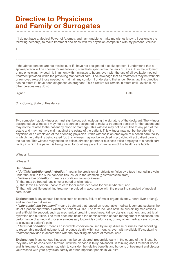## **Directive to Physicians and Family or Surrogates**

If I do not have a Medical Power of Attorney, and I am unable to make my wishes known, I designate the following person(s) to make treatment decisions with my physician compatible with my personal values:

1. 2.

If the above persons are not available, or if I have not designated a spokesperson, I understand that a spokesperson will be chosen for me following standards specified in the laws of Texas. If, in the judgment of my physician, my death is imminent within minutes to hours, even with the use of all available medical treatment provided within the prevailing standard of care, I acknowledge that all treatments may be withheld or removed except those needed to maintain my comfort. I understand that under Texas law this directive has no effect if I have been diagnosed as pregnant. This directive will remain in effect until I evoke it. No other persons may do so.

| Signed_                           | Date |
|-----------------------------------|------|
|                                   |      |
|                                   |      |
| City, County, State of Residence_ |      |

Two competent adult witnesses must sign below, acknowledging the signature of the declarant. The witness designated as Witness 1 may not be a person designated to make a treatment decision for the patient and may not be related to the patient by blood or marriage. This witness may not be entitled to any part of the estate and may not have claim against the estate of the patient. This witness may not be the attending physician or an employee of the attending physician. If this witness is an employee of a health care facility in which the patient is being cared for, this witness may not be involved in providing direct patient care to the patient. This witness may not be an officer, director, partner or business office employee of a health care facility in which the patient is being cared for or of any parent organization of the health care facility.

Witness 1\_

Witness<sub>2</sub>

**Definitions:**

• *"Artificial nutrition and hydration"* means the provision of nutrients or fluids by a tube inserted in a vein, under the skin in the subcutaneous tissues, or in the stomach (gastrointestinal tract).

• *"Irreversible condition"* means a condition, injury or illness:

(1) that may be treated, but is never cured or eliminated;

(2) that leaves a person unable to care for or make decisions for himself/herself; and

(3) that, without life-sustaining treatment provided in accordance with the prevailing standard of medical care, is fatal.

**Explanation:** Many serious illnesses such as cancer, failure of major organs (kidney, heart, liver or lung), and serious brain disease

• *"Life-sustaining treatment"* means treatment that, based on reasonable medical judgment, sustains the life of a patient and without which the patient will die. The term includes both life-sustaining medications and artificial life support, such as mechanical breathing machines, kidney dialysis treatment, and artificial hydration and nutrition. The term does not include the administration of pain management medication, the performance of a medical procedure necessary to provide comfort care, or any other medical care provided to alleviate a patient's pain.

• *"Terminal condition"* means an incurable condition caused by injury, disease or illness that according to reasonable medical judgment, will produce death within six months, even with available life-sustaining treatment provided in accordance with the prevailing standard of medical care.

**Explanation:** Many serious illnesses may be considered irreversible early in the course of the illness, but they may not be considered terminal until the disease is fairly advanced. In thinking about terminal illness and its treatment, you again may wish to consider the relative benefits and burdens of treatment and discuss your wishes with your physician, family or other important people in your life.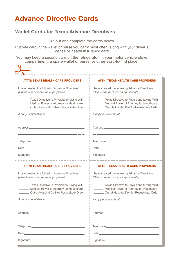# **Advance Directive Cards**

 $\overline{O}$ 

## **Wallet Cards for Texas Advance Directives**

Cut out and complete the cards below.

Put one card in the wallet or purse you carry most often, along with your driver's license or health insurance card.

You may keep a second card on the refrigerator, in your motor vehicle glove compartment, a spare wallet or purse, or other easy-to-find place.

| <b>ATTN: TEXAS HEALTH CARE PROVIDERS</b>                                                                                            | <b>ATTN: TEXAS HEALTH CARE PROVIDERS</b>                                                                                                                                                                                       |
|-------------------------------------------------------------------------------------------------------------------------------------|--------------------------------------------------------------------------------------------------------------------------------------------------------------------------------------------------------------------------------|
| I have created the following Advance Directives:<br>(Check one or more, as appropriate)                                             | I have created the following Advance Directives:<br>(Check one or more, as appropriate)                                                                                                                                        |
| Texas Directive to Physicians (Living Will)<br>Medical Power of Attorney for Healthcare<br>Out-of-Hospital Do-Not-Resuscitate Order | Texas Directive to Physicians (Living Will)<br>Medical Power of Attorney for Healthcare<br>Out-of-Hospital Do-Not-Resuscitate Order                                                                                            |
| A copy is available at:                                                                                                             | A copy is available at:                                                                                                                                                                                                        |
|                                                                                                                                     |                                                                                                                                                                                                                                |
|                                                                                                                                     |                                                                                                                                                                                                                                |
|                                                                                                                                     | Date and the contract of the contract of the contract of the contract of the contract of the contract of the contract of the contract of the contract of the contract of the contract of the contract of the contract of the c |
|                                                                                                                                     |                                                                                                                                                                                                                                |
|                                                                                                                                     |                                                                                                                                                                                                                                |
| <b>ATTN: TEXAS HEALTH CARE PROVIDERS</b>                                                                                            | <b>ATTN: TEXAS HEALTH CARE PROVIDERS</b>                                                                                                                                                                                       |
| I have created the following Advance Directives:<br>(Check one or more, as appropriate)                                             | I have created the following Advance Directives:<br>(Check one or more, as appropriate)                                                                                                                                        |
| Texas Directive to Physicians (Living Will)<br>Medical Power of Attorney for Healthcare<br>Out-of-Hospital Do-Not-Resuscitate Order | Texas Directive to Physicians (Living Will)<br>Medical Power of Attorney for Healthcare<br>Out-of-Hospital Do-Not-Resuscitate Order                                                                                            |
| A copy is available at:                                                                                                             | A copy is available at:                                                                                                                                                                                                        |
|                                                                                                                                     |                                                                                                                                                                                                                                |
|                                                                                                                                     |                                                                                                                                                                                                                                |
| Date https://www.factbook.com/                                                                                                      | Date has been as a series of the series of the series of the series of the series of the series of the series of the series of the series of the series of the series of the series of the series of the series of the series  |